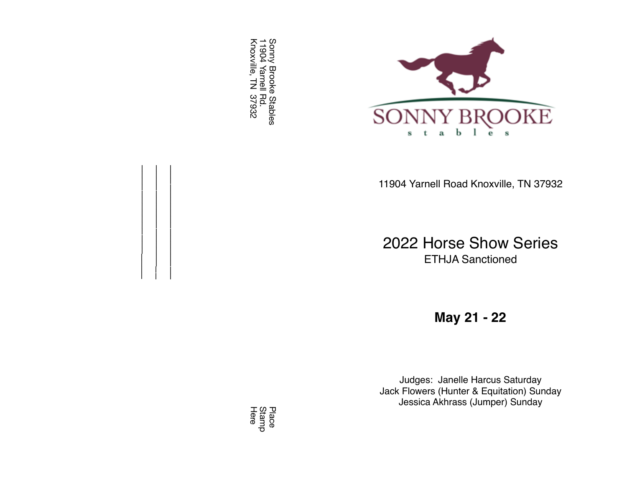Sonny Brooke Stables<br>11904 Yarnell Rd.<br>Knoxville, TN 37932 Sonny Brooke Stables Knoxville, TN 37932 11904 Yarnell Rd.

 $\mathcal{L}=\{1,2,3,4\}$  $\frac{1}{2}$  $\mathcal{L}=\mathcal{L}=\mathcal{L}=\mathcal{L}=\mathcal{L}=\mathcal{L}=\mathcal{L}=\mathcal{L}=\mathcal{L}=\mathcal{L}=\mathcal{L}=\mathcal{L}=\mathcal{L}=\mathcal{L}=\mathcal{L}=\mathcal{L}=\mathcal{L}=\mathcal{L}=\mathcal{L}=\mathcal{L}=\mathcal{L}=\mathcal{L}=\mathcal{L}=\mathcal{L}=\mathcal{L}=\mathcal{L}=\mathcal{L}=\mathcal{L}=\mathcal{L}=\mathcal{L}=\mathcal{L}=\mathcal{L}=\mathcal{L}=\mathcal{L}=\mathcal{L}=\mathcal{L}=\mathcal{$ 



11904 Yarnell Road Knoxville, TN 3793 2

2022 Horse Show Serie s ETHJA Sanctione d

**May 21 - 2 2**

Judges: Janelle Harcus Saturda y Jack Flowers (Hunter & Equitation) Sunda y Jessica Akhrass (Jumper) Sunda y

Here Stamp Place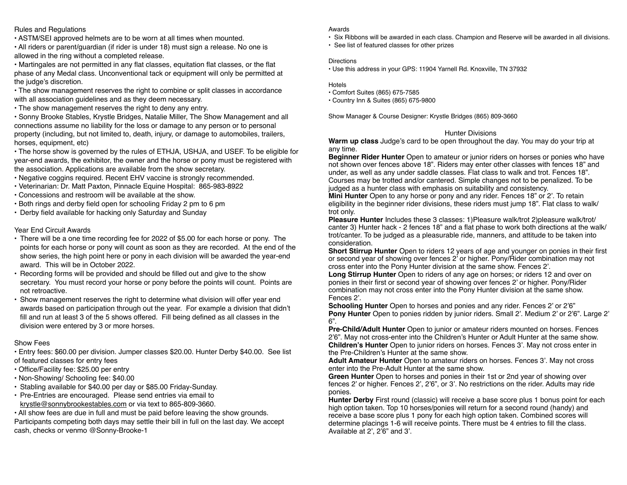### Rules and Regulations

• ASTM/SEI approved helmets are to be worn at all times when mounted.

• All riders or parent/guardian (if rider is under 18) must sign a release. No one is allowed in the ring without a completed release.

• Martingales are not permitted in any flat classes, equitation flat classes, or the flat phase of any Medal class. Unconventional tack or equipment will only be permitted at the judge's discretion.

• The show management reserves the right to combine or split classes in accordance with all association guidelines and as they deem necessary.

• The show management reserves the right to deny any entry.

• Sonny Brooke Stables, Krystle Bridges, Natalie Miller, The Show Management and all connections assume no liability for the loss or damage to any person or to personal property (including, but not limited to, death, injury, or damage to automobiles, trailers, horses, equipment, etc)

• The horse show is governed by the rules of ETHJA, USHJA, and USEF. To be eligible for year-end awards, the exhibitor, the owner and the horse or pony must be registered with the association. Applications are available from the show secretary.

- Negative coggins required. Recent EHV vaccine is strongly recommended.
- Veterinarian: Dr. Matt Paxton, Pinnacle Equine Hospital: 865-983-8922
- Concessions and restroom will be available at the show.
- Both rings and derby field open for schooling Friday 2 pm to 6 pm
- Derby field available for hacking only Saturday and Sunday

### Year End Circuit Awards

- There will be a one time recording fee for 2022 of \$5.00 for each horse or pony. The points for each horse or pony will count as soon as they are recorded. At the end of the show series, the high point here or pony in each division will be awarded the year-end award. This will be in October 2022.
- Recording forms will be provided and should be filled out and give to the show secretary. You must record your horse or pony before the points will count. Points are not retroactive.
- Show management reserves the right to determine what division will offer year end awards based on participation through out the year. For example a division that didn't fill and run at least 3 of the 5 shows offered. Fill being defined as all classes in the division were entered by 3 or more horses.

### Show Fees

• Entry fees: \$60.00 per division. Jumper classes \$20.00. Hunter Derby \$40.00. See list of featured classes for entry fees

- Office/Facility fee: \$25.00 per entry
- Non-Showing/ Schooling fee: \$40.00
- Stabling available for \$40.00 per day or \$85.00 Friday-Sunday.
- Pre-Entries are encouraged. Please send entries via email to krystle@sonnybrookestables.com or via text to 865-809-3660.

• All show fees are due in full and must be paid before leaving the show grounds. Participants competing both days may settle their bill in full on the last day. We accept cash, checks or venmo @Sonny-Brooke-1

#### Awards

• Six Ribbons will be awarded in each class. Champion and Reserve will be awarded in all divisions.

• See list of featured classes for other prizes

#### **Directions**

• Use this address in your GPS: 11904 Yarnell Rd. Knoxville, TN 37932

Hotels

- Comfort Suites (865) 675-7585
- Country Inn & Suites (865) 675-9800

Show Manager & Course Designer: Krystle Bridges (865) 809-3660

### Hunter Divisions

**Warm up class** Judge's card to be open throughout the day. You may do your trip at any time.

**Beginner Rider Hunter** Open to amateur or junior riders on horses or ponies who have not shown over fences above 18". Riders may enter other classes with fences 18" and under, as well as any under saddle classes. Flat class to walk and trot. Fences 18". Courses may be trotted and/or cantered. Simple changes not to be penalized. To be judged as a hunter class with emphasis on suitability and consistency.

**Mini Hunter** Open to any horse or pony and any rider. Fences 18" or 2'. To retain eligibility in the beginner rider divisions, these riders must jump 18". Flat class to walk/ trot only.

**Pleasure Hunter** Includes these 3 classes: 1)Pleasure walk/trot 2) pleasure walk/trot/ canter 3) Hunter hack - 2 fences 18" and a flat phase to work both directions at the walk/ trot/canter. To be judged as a pleasurable ride, manners, and attitude to be taken into consideration.

**Short Stirrup Hunter** Open to riders 12 years of age and younger on ponies in their first or second year of showing over fences 2' or higher. Pony/Rider combination may not cross enter into the Pony Hunter division at the same show. Fences 2'.

**Long Stirrup Hunter** Open to riders of any age on horses; or riders 12 and over on ponies in their first or second year of showing over fences 2' or higher. Pony/Rider combination may not cross enter into the Pony Hunter division at the same show. Fences 2'.

**Schooling Hunter** Open to horses and ponies and any rider. Fences 2' or 2'6" **Pony Hunter** Open to ponies ridden by junior riders. Small 2'. Medium 2' or 2'6". Large 2' 6".

**Pre-Child/Adult Hunter** Open to junior or amateur riders mounted on horses. Fences 2'6". May not cross-enter into the Children's Hunter or Adult Hunter at the same show. **Children's Hunter** Open to junior riders on horses. Fences 3'. May not cross enter in the Pre-Children's Hunter at the same show.

**Adult Amateur Hunter** Open to amateur riders on horses. Fences 3'. May not cross enter into the Pre-Adult Hunter at the same show.

**Green Hunter** Open to horses and ponies in their 1st or 2nd year of showing over fences 2' or higher. Fences 2', 2'6", or 3'. No restrictions on the rider. Adults may ride ponies.

**Hunter Derby** First round (classic) will receive a base score plus 1 bonus point for each high option taken. Top 10 horses/ponies will return for a second round (handy) and receive a base score plus 1 pony for each high option taken. Combined scores will determine placings 1-6 will receive points. There must be 4 entries to fill the class. Available at 2', 2'6" and 3'.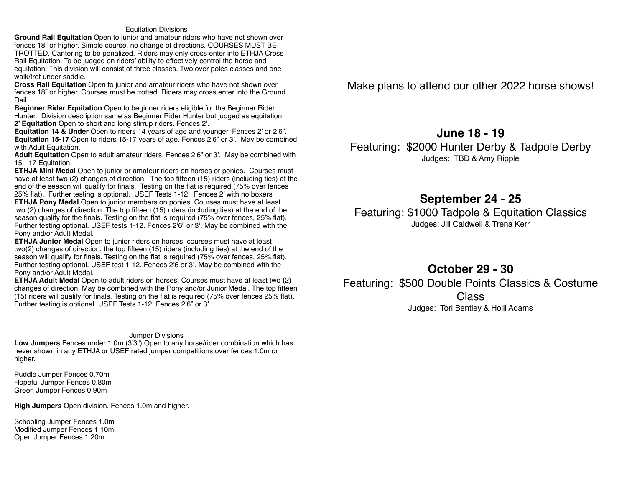#### Equitation Divisions

**Ground Rail Equitation** Open to junior and amateur riders who have not shown over fences 18" or higher. Simple course, no change of directions. COURSES MUST BE TROTTED. Cantering to be penalized. Riders may only cross enter into ETHJA Cross Rail Equitation. To be judged on riders' ability to effectively control the horse and equitation. This division will consist of three classes. Two over poles classes and one walk/trot under saddle.

**Cross Rail Equitation** Open to junior and amateur riders who have not shown over fences 18" or higher. Courses must be trotted. Riders may cross enter into the Ground Rail.

**Beginner Rider Equitation** Open to beginner riders eligible for the Beginner Rider Hunter. Division description same as Beginner Rider Hunter but judged as equitation. **2' Equitation** Open to short and long stirrup riders. Fences 2'.

**Equitation 14 & Under** Open to riders 14 years of age and younger. Fences 2' or 2'6". **Equitation 15-17** Open to riders 15-17 years of age. Fences 2'6" or 3'. May be combined with Adult Equitation.

**Adult Equitation** Open to adult amateur riders. Fences 2'6" or 3'. May be combined with 15 - 17 Equitation.

**ETHJA Mini Medal** Open to junior or amateur riders on horses or ponies. Courses must have at least two (2) changes of direction. The top fifteen (15) riders (including ties) at the end of the season will qualify for finals. Testing on the flat is required (75% over fences 25% flat). Further testing is optional. USEF Tests 1-12. Fences 2' with no boxers **ETHJA Pony Medal** Open to junior members on ponies. Courses must have at least two (2) changes of direction. The top fifteen (15) riders (including ties) at the end of the season qualify for the finals. Testing on the flat is required (75% over fences, 25% flat). Further testing optional. USEF tests 1-12. Fences 2'6" or 3'. May be combined with the Pony and/or Adult Medal.

**ETHJA Junior Medal** Open to junior riders on horses. courses must have at least two(2) changes of direction. the top fifteen (15) riders (including ties) at the end of the season will qualify for finals. Testing on the flat is required (75% over fences, 25% flat). Further testing optional. USEF test 1-12. Fences 2'6 or 3'. May be combined with the Pony and/or Adult Medal.

**ETHJA Adult Medal** Open to adult riders on horses. Courses must have at least two (2) changes of direction. May be combined with the Pony and/or Junior Medal. The top fifteen (15) riders will qualify for finals. Testing on the flat is required (75% over fences 25% flat). Further testing is optional. USEF Tests 1-12. Fences 2'6" or 3'.

#### Jumper Divisions

**Low Jumpers** Fences under 1.0m (3'3") Open to any horse/rider combination which has never shown in any ETHJA or USEF rated jumper competitions over fences 1.0m or higher.

Puddle Jumper Fences 0.70m Hopeful Jumper Fences 0.80m Green Jumper Fences 0.90m

**High Jumpers** Open division. Fences 1.0m and higher.

Schooling Jumper Fences 1.0m Modified Jumper Fences 1.10m Open Jumper Fences 1.20m

Make plans to attend our other 2022 horse shows!

# **June 18 - 19**

Featuring: \$2000 Hunter Derby & Tadpole Derby Judges: TBD & Amy Ripple

## **September 24 - 25**

Featuring: \$1000 Tadpole & Equitation Classics Judges: Jill Caldwell & Trena Kerr

## **October 29 - 30**

Featuring: \$500 Double Points Classics & Costume Class Judges: Tori Bentley & Holli Adams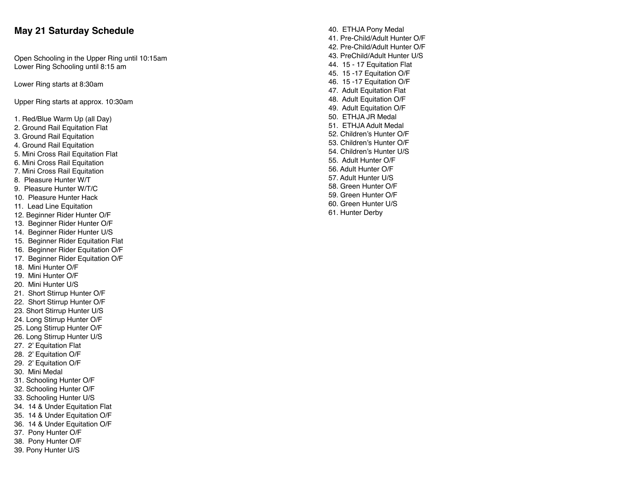## **May 21 Saturday Schedul e**

Open Schooling in the Upper Ring until 10:15a m Lower Ring Schooling until 8:15 a m

Lower Ring starts at 8:30a m

Upper Ring starts at approx. 10:30a m

- 1. Red/Blue Warm Up (all Day )
- 2. Ground Rail Equitation Fla t
- 3. Ground Rail Equitatio n
- 4. Ground Rail Equitatio n
- 5. Mini Cross Rail Equitation Fla t
- 6. Mini Cross Rail Equitatio n
- 7. Mini Cross Rail Equitatio n
- 8. Pleasure Hunter W/T
- 9. Pleasure Hunter W/T/ C
- 10. Pleasure Hunter Hac k
- 11. Lead Line Equitatio n
- 12. Beginner Rider Hunter O/ F
- 13. Beginner Rider Hunter O/ F
- 14. Beginner Rider Hunter U/ S
- 15. Beginner Rider Equitation Fla t
- 16. Beginner Rider Equitation O/ F
- 17. Beginner Rider Equitation O/ F
- 18. Mini Hunter O/ F
- 19. Mini Hunter O/ F
- 20. Mini Hunter U/ S
- 21. Short Stirrup Hunter O/ F
- 22. Short Stirrup Hunter O/ F
- 23. Short Stirrup Hunter U/ S
- 24. Long Stirrup Hunter O/ F
- 25. Long Stirrup Hunter O/ F
- 26. Long Stirrup Hunter U/ S
- 27. 2' Equitation Fla t
- 28. 2' Equitation O/ F
- 29. 2' Equitation O/ F
- 30. Mini Meda l
- 31. Schooling Hunter O/ F
- 32. Schooling Hunter O/ F
- 33. Schooling Hunter U/ S
- 34. 14 & Under Equitation Fla t
- 35. 14 & Under Equitation O/ F
- 36. 14 & Under Equitation O/ F
- 37. Pony Hunter O/ F
- 38. Pony Hunter O/ F
- 39. Pony Hunter U/ S
- 40. ETHJA Pony Meda l 41. Pre-Child/Adult Hunter O/ F 42. Pre-Child/Adult Hunter O/ F 43. PreChild/Adult Hunter U/ S 44. 15 - 17 Equitation Fla t 45. 15 -17 Equitation O/ F 46. 15 -17 Equitation O/ F 47. Adult Equitation Fla t 48. Adult Equitation O/ F 49. Adult Equitation O/ F 50. ETHJA JR Meda l 51. ETHJA Adult Meda l 52. Children's Hunter O/ F 53. Children's Hunter O/ F 54. Children's Hunter U/ S 55. Adult Hunter O/ F 56. Adult Hunter O/ F 57. Adult Hunter U/ S 58. Green Hunter O/ F 59. Green Hunter O/ F 60. Green Hunter U/ S
- 61. Hunter Derb y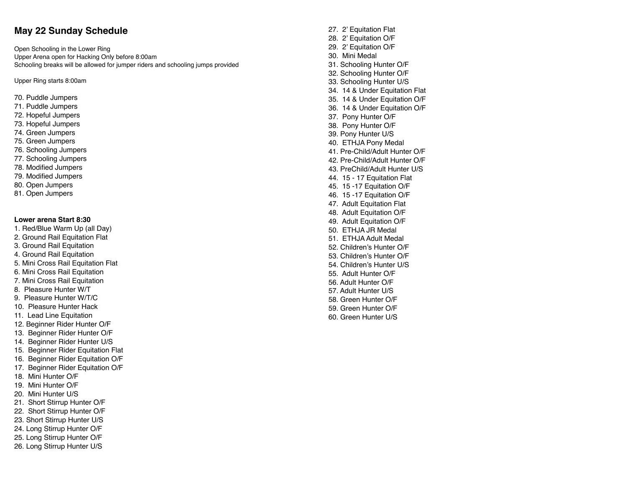## **May 22 Sunday Schedul e**

Open Schooling in the Lower Rin g Upper Arena open for Hacking Only before 8:00a m Schooling breaks will be allowed for jumper riders and schooling jumps provide d

Upper Ring starts 8:00a m

- 70. Puddle Jumper s
- 71. Puddle Jumper s
- 72. Hopeful Jumper s
- 73. Hopeful Jumper s
- 74. Green Jumper s
- 75. Green Jumper s
- 76. Schooling Jumper s
- 77. Schooling Jumper s
- 78. Modi fied Jumper s
- 79. Modi fied Jumper s
- 80. Open Jumper s
- 81. Open Jumper s

#### **Lower arena Start 8:3 0**

- 1. Red/Blue Warm Up (all Day )
- 2. Ground Rail Equitation Fla t
- 3. Ground Rail Equitatio n
- 4. Ground Rail Equitatio n
- 5. Mini Cross Rail Equitation Fla t
- 6. Mini Cross Rail Equitatio n
- 7. Mini Cross Rail Equitatio n
- 8. Pleasure Hunter W/T
- 9. Pleasure Hunter W/T/ C
- 10. Pleasure Hunter Hac k
- 11. Lead Line Equitatio n
- 12. Beginner Rider Hunter O/ F
- 13. Beginner Rider Hunter O/ F
- 14. Beginner Rider Hunter U/ S
- 15. Beginner Rider Equitation Fla t
- 16. Beginner Rider Equitation O/ F
- 17. Beginner Rider Equitation O/ F
- 18. Mini Hunter O/ F
- 19. Mini Hunter O/ F
- 20. Mini Hunter U/ S
- 21. Short Stirrup Hunter O/ F
- 22. Short Stirrup Hunter O/ F
- 23. Short Stirrup Hunter U/ S
- 24. Long Stirrup Hunter O/ F
- 25. Long Stirrup Hunter O/ F
- 26. Long Stirrup Hunter U/ S

27. 2' Equitation Fla t 28. 2' Equitation O/ F 29. 2' Equitation O/ F 30. Mini Meda l 31. Schooling Hunter O/ F 32. Schooling Hunter O/ F 33. Schooling Hunter U/ S 34. 14 & Under Equitation Fla t 35. 14 & Under Equitation O/ F 36. 14 & Under Equitation O/ F 37. Pony Hunter O/ F 38. Pony Hunter O/ F 39. Pony Hunter U/ S 40. ETHJA Pony Meda l 41. Pre-Child/Adult Hunter O/ F 42. Pre-Child/Adult Hunter O/ F 43. PreChild/Adult Hunter U/ S 44. 15 - 17 Equitation Fla t 45. 15 -17 Equitation O/ F 46. 15 -17 Equitation O/ F 47. Adult Equitation Fla t 48. Adult Equitation O/ F 49. Adult Equitation O/ F 50. ETHJA JR Meda l 51. ETHJA Adult Meda l 52. Children's Hunter O/ F 53. Children's Hunter O/ F 54. Children's Hunter U/ S 55. Adult Hunter O/ F 56. Adult Hunter O/ F 57. Adult Hunter U/ S 58. Green Hunter O/ F 59. Green Hunter O/ F 60. Green Hunter U/ S